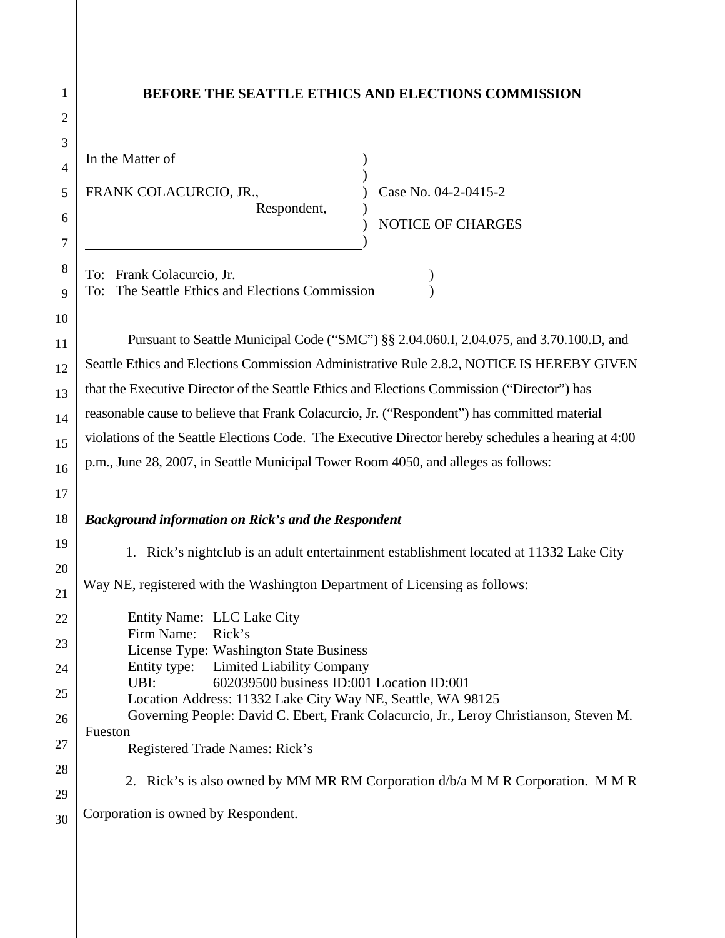| 1              | BEFORE THE SEATTLE ETHICS AND ELECTIONS COMMISSION                                                               |
|----------------|------------------------------------------------------------------------------------------------------------------|
| $\overline{2}$ |                                                                                                                  |
| 3              | In the Matter of                                                                                                 |
| 4              |                                                                                                                  |
| 5              | FRANK COLACURCIO, JR.,<br>Case No. 04-2-0415-2<br>Respondent,                                                    |
| 6              | <b>NOTICE OF CHARGES</b>                                                                                         |
| 7              |                                                                                                                  |
| 8              | To: Frank Colacurcio, Jr.                                                                                        |
| 9              | The Seattle Ethics and Elections Commission<br>To:                                                               |
| 10             | Pursuant to Seattle Municipal Code ("SMC") §§ 2.04.060.I, 2.04.075, and 3.70.100.D, and                          |
| 11             | Seattle Ethics and Elections Commission Administrative Rule 2.8.2, NOTICE IS HEREBY GIVEN                        |
| 12             | that the Executive Director of the Seattle Ethics and Elections Commission ("Director") has                      |
| 13<br>14       | reasonable cause to believe that Frank Colacurcio, Jr. ("Respondent") has committed material                     |
| 15             | violations of the Seattle Elections Code. The Executive Director hereby schedules a hearing at 4:00              |
| 16             | p.m., June 28, 2007, in Seattle Municipal Tower Room 4050, and alleges as follows:                               |
| 17             |                                                                                                                  |
| 18             | <b>Background information on Rick's and the Respondent</b>                                                       |
| 19             |                                                                                                                  |
| 20             | Rick's nightclub is an adult entertainment establishment located at 11332 Lake City<br>1.                        |
| 21             | Way NE, registered with the Washington Department of Licensing as follows:                                       |
| 22             | Entity Name: LLC Lake City                                                                                       |
| 23             | Firm Name:<br>Rick's<br>License Type: Washington State Business                                                  |
| 24             | Entity type:<br><b>Limited Liability Company</b>                                                                 |
| 25             | 602039500 business ID:001 Location ID:001<br>UBI:<br>Location Address: 11332 Lake City Way NE, Seattle, WA 98125 |
| 26             | Governing People: David C. Ebert, Frank Colacurcio, Jr., Leroy Christianson, Steven M.                           |
| 27             | Fueston<br>Registered Trade Names: Rick's                                                                        |
| 28             |                                                                                                                  |
| 29             | 2. Rick's is also owned by MM MR RM Corporation d/b/a M M R Corporation. M M R                                   |
| 30             | Corporation is owned by Respondent.                                                                              |
|                |                                                                                                                  |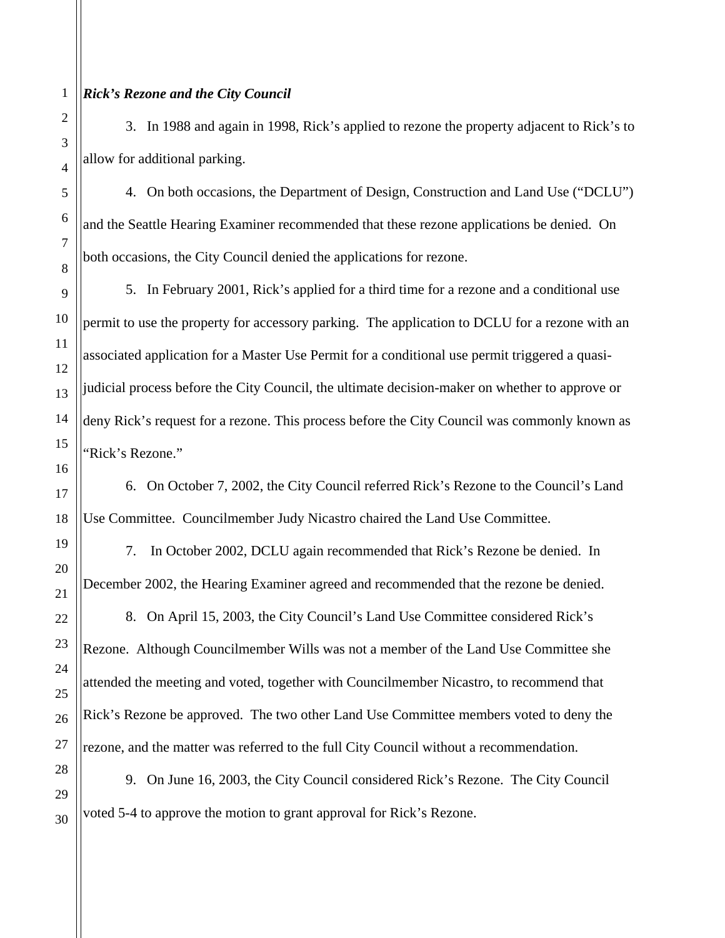# *Rick's Rezone and the City Council*

3. In 1988 and again in 1998, Rick's applied to rezone the property adjacent to Rick's to allow for additional parking.

4. On both occasions, the Department of Design, Construction and Land Use ("DCLU") and the Seattle Hearing Examiner recommended that these rezone applications be denied. On both occasions, the City Council denied the applications for rezone.

5. In February 2001, Rick's applied for a third time for a rezone and a conditional use permit to use the property for accessory parking. The application to DCLU for a rezone with an associated application for a Master Use Permit for a conditional use permit triggered a quasijudicial process before the City Council, the ultimate decision-maker on whether to approve or deny Rick's request for a rezone. This process before the City Council was commonly known as 'Rick's Rezone."

6. On October 7, 2002, the City Council referred Rick's Rezone to the Council's Land Use Committee. Councilmember Judy Nicastro chaired the Land Use Committee.

7. In October 2002, DCLU again recommended that Rick's Rezone be denied. In December 2002, the Hearing Examiner agreed and recommended that the rezone be denied. 8. On April 15, 2003, the City Council's Land Use Committee considered Rick's Rezone. Although Councilmember Wills was not a member of the Land Use Committee she attended the meeting and voted, together with Councilmember Nicastro, to recommend that Rick's Rezone be approved. The two other Land Use Committee members voted to deny the rezone, and the matter was referred to the full City Council without a recommendation.

9. On June 16, 2003, the City Council considered Rick's Rezone. The City Council voted 5-4 to approve the motion to grant approval for Rick's Rezone.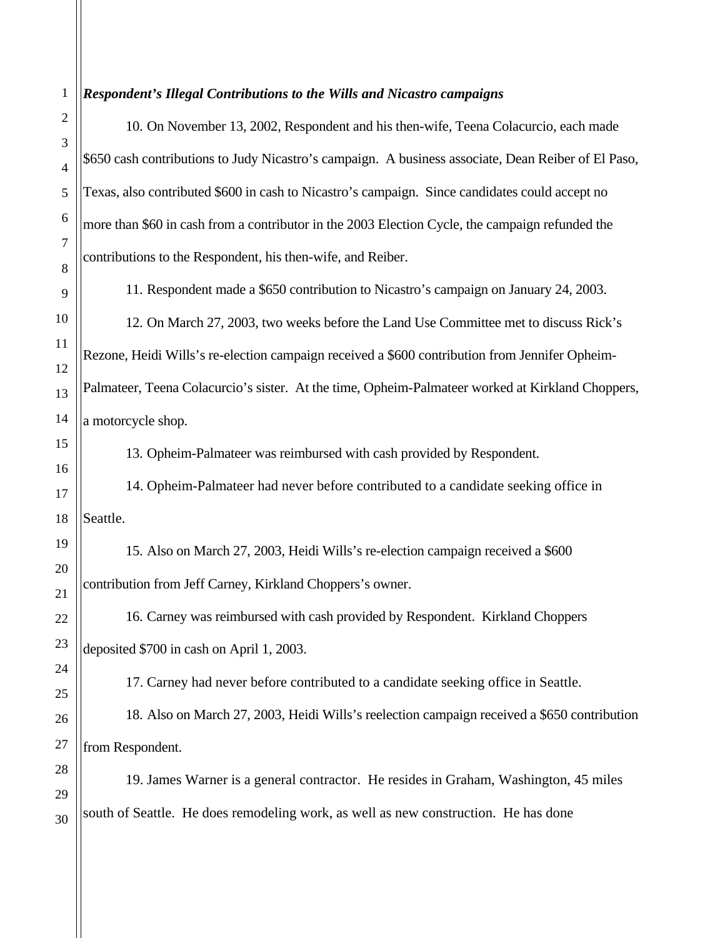1 2 3 4 5 6 7 8 9 10 11 12 13 14 15 16 17 18 19 20 21 22 23 24 25 26 27 28 29 30 *Respondent's Illegal Contributions to the Wills and Nicastro campaigns*  10. On November 13, 2002, Respondent and his then-wife, Teena Colacurcio, each made \$650 cash contributions to Judy Nicastro's campaign. A business associate, Dean Reiber of El Paso, Texas, also contributed \$600 in cash to Nicastro's campaign. Since candidates could accept no more than \$60 in cash from a contributor in the 2003 Election Cycle, the campaign refunded the contributions to the Respondent, his then-wife, and Reiber. 11. Respondent made a \$650 contribution to Nicastro's campaign on January 24, 2003. 12. On March 27, 2003, two weeks before the Land Use Committee met to discuss Rick's Rezone, Heidi Wills's re-election campaign received a \$600 contribution from Jennifer Opheim-Palmateer, Teena Colacurcio's sister. At the time, Opheim-Palmateer worked at Kirkland Choppers, a motorcycle shop. 13. Opheim-Palmateer was reimbursed with cash provided by Respondent. 14. Opheim-Palmateer had never before contributed to a candidate seeking office in Seattle. 15. Also on March 27, 2003, Heidi Wills's re-election campaign received a \$600 contribution from Jeff Carney, Kirkland Choppers's owner. 16. Carney was reimbursed with cash provided by Respondent. Kirkland Choppers deposited \$700 in cash on April 1, 2003. 17. Carney had never before contributed to a candidate seeking office in Seattle. 18. Also on March 27, 2003, Heidi Wills's reelection campaign received a \$650 contribution from Respondent. 19. James Warner is a general contractor. He resides in Graham, Washington, 45 miles south of Seattle. He does remodeling work, as well as new construction. He has done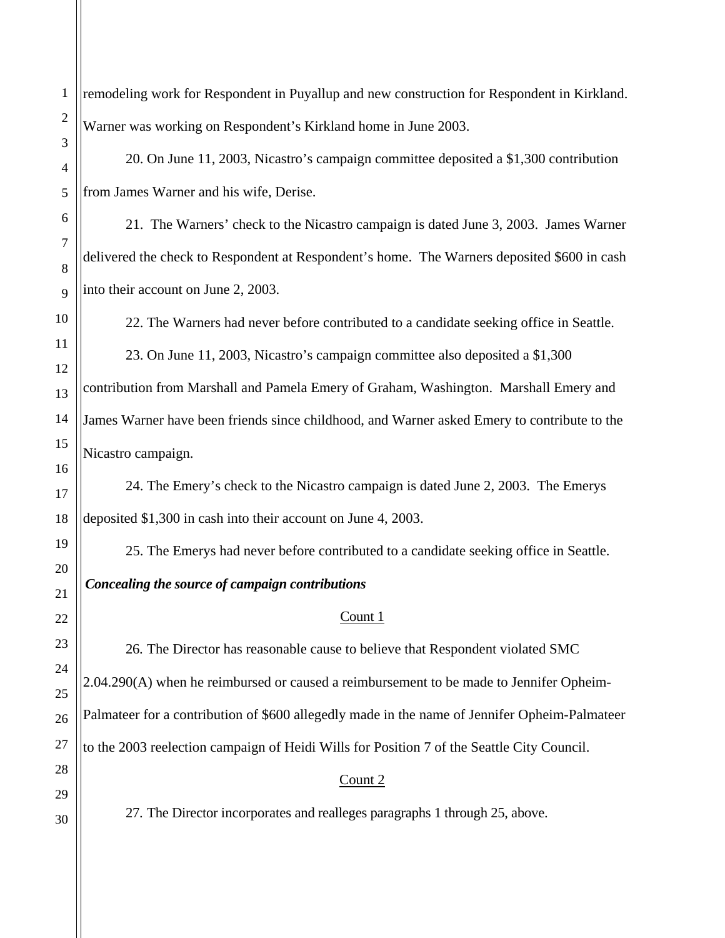remodeling work for Respondent in Puyallup and new construction for Respondent in Kirkland. Warner was working on Respondent's Kirkland home in June 2003. 20. On June 11, 2003, Nicastro's campaign committee deposited a \$1,300 contribution from James Warner and his wife, Derise.

21. The Warners' check to the Nicastro campaign is dated June 3, 2003. James Warner delivered the check to Respondent at Respondent's home. The Warners deposited \$600 in cash into their account on June 2, 2003.

22. The Warners had never before contributed to a candidate seeking office in Seattle.

23. On June 11, 2003, Nicastro's campaign committee also deposited a \$1,300 contribution from Marshall and Pamela Emery of Graham, Washington. Marshall Emery and James Warner have been friends since childhood, and Warner asked Emery to contribute to the Nicastro campaign.

24. The Emery's check to the Nicastro campaign is dated June 2, 2003. The Emerys deposited \$1,300 in cash into their account on June 4, 2003.

25. The Emerys had never before contributed to a candidate seeking office in Seattle. *Concealing the source of campaign contributions* 

# Count 1

26. The Director has reasonable cause to believe that Respondent violated SMC 2.04.290(A) when he reimbursed or caused a reimbursement to be made to Jennifer Opheim-Palmateer for a contribution of \$600 allegedly made in the name of Jennifer Opheim-Palmateer to the 2003 reelection campaign of Heidi Wills for Position 7 of the Seattle City Council.

# Count 2

27. The Director incorporates and realleges paragraphs 1 through 25, above.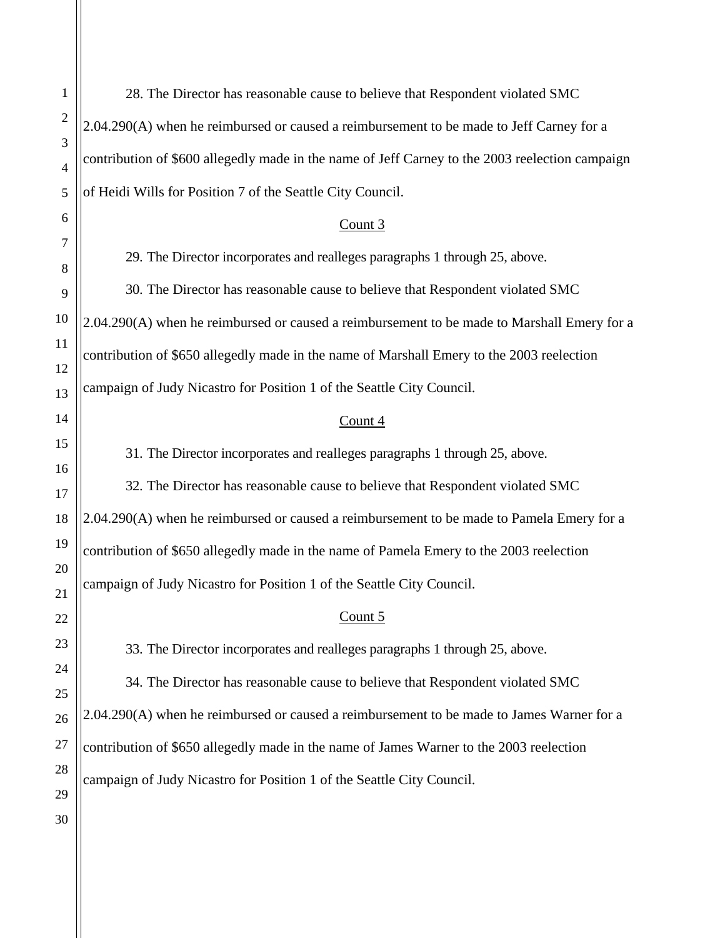1 2 3 4 5 6 7 8 9 10 11 12 13 14 15 16 17 18 19 20 21 22 23 24 25 26 27 28 29 30 28. The Director has reasonable cause to believe that Respondent violated SMC 2.04.290(A) when he reimbursed or caused a reimbursement to be made to Jeff Carney for a contribution of \$600 allegedly made in the name of Jeff Carney to the 2003 reelection campaign of Heidi Wills for Position 7 of the Seattle City Council. 29. The Director incorporates and realleges paragraphs 1 through 25, above. 30. The Director has reasonable cause to believe that Respondent violated SMC 2.04.290(A) when he reimbursed or caused a reimbursement to be made to Marshall Emery for a contribution of \$650 allegedly made in the name of Marshall Emery to the 2003 reelection

Count 3

campaign of Judy Nicastro for Position 1 of the Seattle City Council.

# Count 4

31. The Director incorporates and realleges paragraphs 1 through 25, above.

32. The Director has reasonable cause to believe that Respondent violated SMC 2.04.290(A) when he reimbursed or caused a reimbursement to be made to Pamela Emery for a contribution of \$650 allegedly made in the name of Pamela Emery to the 2003 reelection campaign of Judy Nicastro for Position 1 of the Seattle City Council.

# Count 5

33. The Director incorporates and realleges paragraphs 1 through 25, above.

34. The Director has reasonable cause to believe that Respondent violated SMC 2.04.290(A) when he reimbursed or caused a reimbursement to be made to James Warner for a contribution of \$650 allegedly made in the name of James Warner to the 2003 reelection campaign of Judy Nicastro for Position 1 of the Seattle City Council.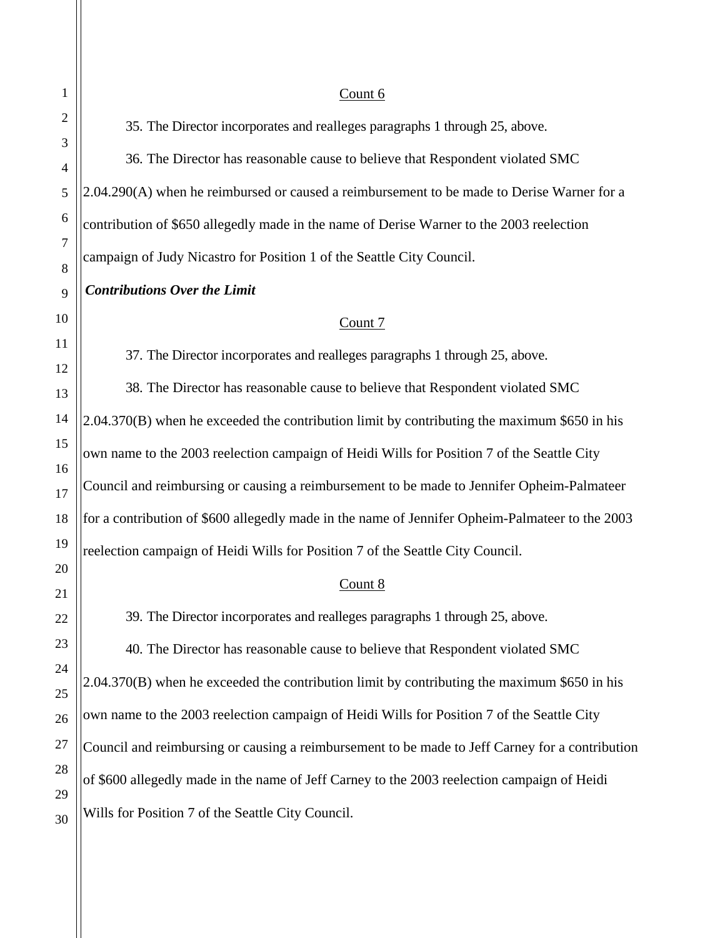### Count 6

35. The Director incorporates and realleges paragraphs 1 through 25, above.

36. The Director has reasonable cause to believe that Respondent violated SMC 2.04.290(A) when he reimbursed or caused a reimbursement to be made to Derise Warner for a contribution of \$650 allegedly made in the name of Derise Warner to the 2003 reelection campaign of Judy Nicastro for Position 1 of the Seattle City Council.

## *Contributions Over the Limit*

## Count 7

37. The Director incorporates and realleges paragraphs 1 through 25, above.

38. The Director has reasonable cause to believe that Respondent violated SMC 2.04.370(B) when he exceeded the contribution limit by contributing the maximum \$650 in his own name to the 2003 reelection campaign of Heidi Wills for Position 7 of the Seattle City Council and reimbursing or causing a reimbursement to be made to Jennifer Opheim-Palmateer for a contribution of \$600 allegedly made in the name of Jennifer Opheim-Palmateer to the 2003 reelection campaign of Heidi Wills for Position 7 of the Seattle City Council.

### Count 8

39. The Director incorporates and realleges paragraphs 1 through 25, above.

40. The Director has reasonable cause to believe that Respondent violated SMC 2.04.370(B) when he exceeded the contribution limit by contributing the maximum \$650 in his own name to the 2003 reelection campaign of Heidi Wills for Position 7 of the Seattle City Council and reimbursing or causing a reimbursement to be made to Jeff Carney for a contribution of \$600 allegedly made in the name of Jeff Carney to the 2003 reelection campaign of Heidi Wills for Position 7 of the Seattle City Council.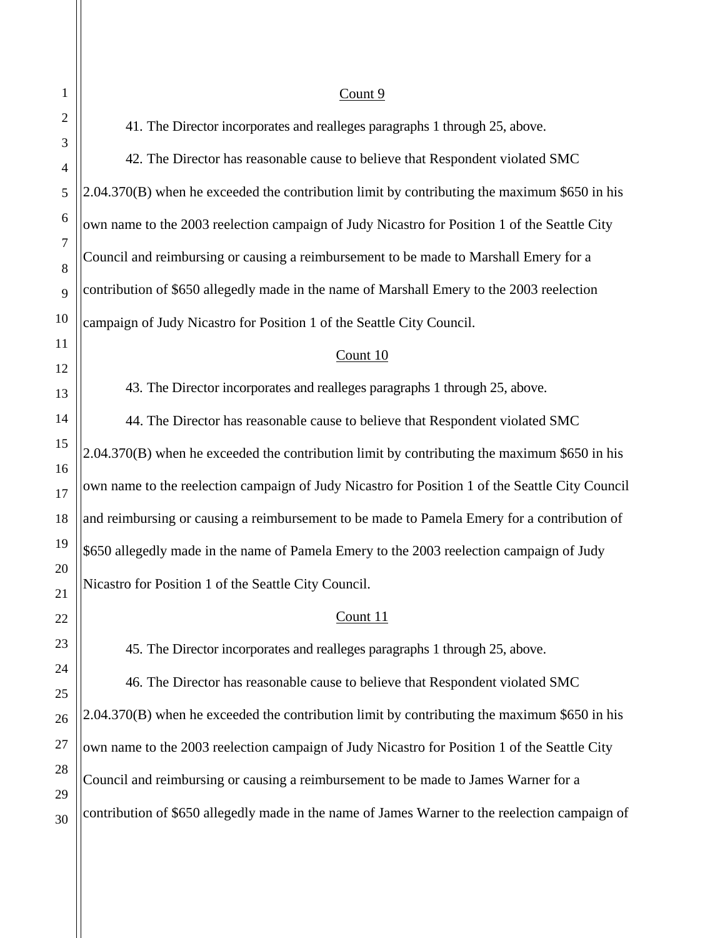#### Count 9

41. The Director incorporates and realleges paragraphs 1 through 25, above.

42. The Director has reasonable cause to believe that Respondent violated SMC 2.04.370(B) when he exceeded the contribution limit by contributing the maximum \$650 in his own name to the 2003 reelection campaign of Judy Nicastro for Position 1 of the Seattle City Council and reimbursing or causing a reimbursement to be made to Marshall Emery for a contribution of \$650 allegedly made in the name of Marshall Emery to the 2003 reelection campaign of Judy Nicastro for Position 1 of the Seattle City Council.

#### Count 10

43. The Director incorporates and realleges paragraphs 1 through 25, above. 44. The Director has reasonable cause to believe that Respondent violated SMC 2.04.370(B) when he exceeded the contribution limit by contributing the maximum \$650 in his own name to the reelection campaign of Judy Nicastro for Position 1 of the Seattle City Council and reimbursing or causing a reimbursement to be made to Pamela Emery for a contribution of \$650 allegedly made in the name of Pamela Emery to the 2003 reelection campaign of Judy Nicastro for Position 1 of the Seattle City Council.

#### Count 11

45. The Director incorporates and realleges paragraphs 1 through 25, above.

46. The Director has reasonable cause to believe that Respondent violated SMC 2.04.370(B) when he exceeded the contribution limit by contributing the maximum \$650 in his own name to the 2003 reelection campaign of Judy Nicastro for Position 1 of the Seattle City Council and reimbursing or causing a reimbursement to be made to James Warner for a contribution of \$650 allegedly made in the name of James Warner to the reelection campaign of